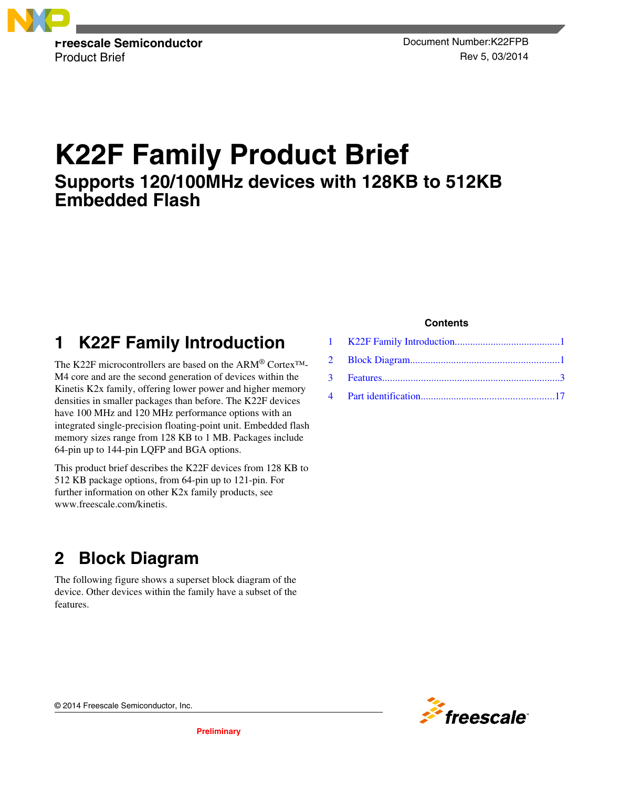

Product Brief Rev 5, 03/2014

# **K22F Family Product Brief Supports 120/100MHz devices with 128KB to 512KB Embedded Flash**

## **1 K22F Family Introduction**

The K22F microcontrollers are based on the ARM® Cortex™- M4 core and are the second generation of devices within the Kinetis K2x family, offering lower power and higher memory densities in smaller packages than before. The K22F devices have 100 MHz and 120 MHz performance options with an integrated single-precision floating-point unit. Embedded flash memory sizes range from 128 KB to 1 MB. Packages include 64-pin up to 144-pin LQFP and BGA options.

This product brief describes the K22F devices from 128 KB to 512 KB package options, from 64-pin up to 121-pin. For further information on other K2x family products, see www.freescale.com/kinetis.

## **2 Block Diagram**

The following figure shows a superset block diagram of the device. Other devices within the family have a subset of the features.

#### **Contents**



© 2014 Freescale Semiconductor, Inc.

**Preliminary**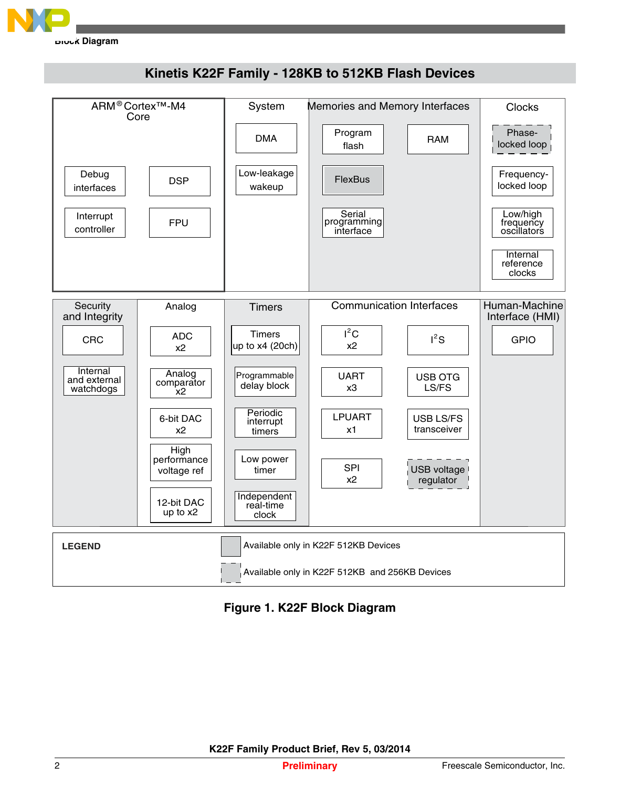



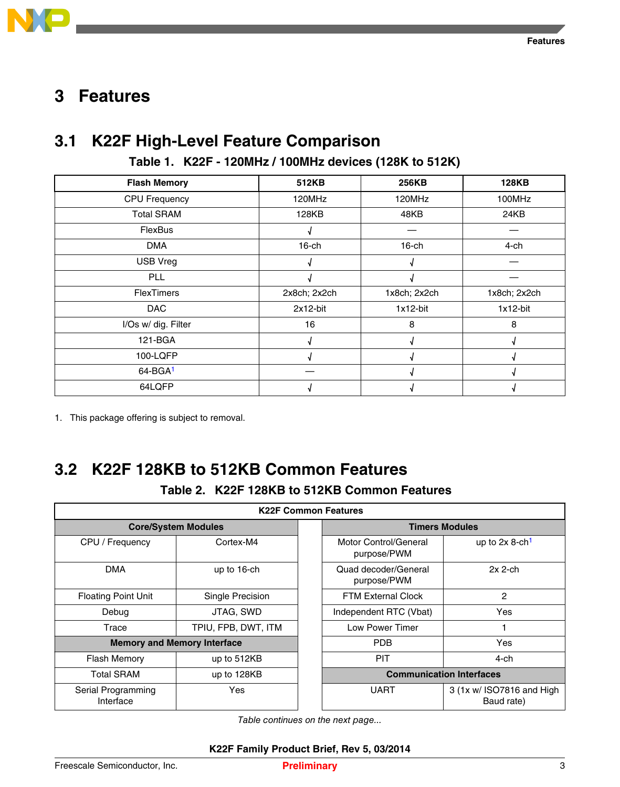<span id="page-2-0"></span>

## **Features 3**

## **3.1 K22F High-Level Feature Comparison**

#### **Table 1. K22F - 120MHz / 100MHz devices (128K to 512K)**

| <b>Flash Memory</b>  | 512KB        | 256KB        | <b>128KB</b> |
|----------------------|--------------|--------------|--------------|
| <b>CPU Frequency</b> | 120MHz       | 120MHz       | 100MHz       |
| <b>Total SRAM</b>    | 128KB        | 48KB         | 24KB         |
| FlexBus              |              |              |              |
| <b>DMA</b>           | $16$ -ch     | $16$ -ch     | 4-ch         |
| <b>USB Vreg</b>      |              |              |              |
| <b>PLL</b>           |              |              |              |
| <b>FlexTimers</b>    | 2x8ch; 2x2ch | 1x8ch; 2x2ch | 1x8ch; 2x2ch |
| <b>DAC</b>           | 2x12-bit     | $1x12-bit$   | $1x12-bit$   |
| I/Os w/ dig. Filter  | 16           | 8            | 8            |
| 121-BGA              |              |              |              |
| 100-LQFP             |              |              |              |
| $64 - BGA1$          |              |              |              |
| 64LQFP               |              |              |              |

1. This package offering is subject to removal.

# **3.2 K22F 128KB to 512KB Common Features**

#### **Table 2. K22F 128KB to 512KB Common Features**

| <b>K22F Common Features</b>     |                                    |  |                                      |                                         |
|---------------------------------|------------------------------------|--|--------------------------------------|-----------------------------------------|
| <b>Core/System Modules</b>      |                                    |  |                                      | <b>Timers Modules</b>                   |
| CPU / Frequency                 | Cortex-M4                          |  | Motor Control/General<br>purpose/PWM | up to $2x$ 8-ch <sup>1</sup>            |
| <b>DMA</b>                      | up to 16-ch                        |  | Quad decoder/General<br>purpose/PWM  | $2x$ 2-ch                               |
| <b>Floating Point Unit</b>      | Single Precision                   |  | <b>FTM External Clock</b>            | 2                                       |
| Debug                           | JTAG, SWD                          |  | Independent RTC (Vbat)               | Yes                                     |
| Trace                           | TPIU, FPB, DWT, ITM                |  | Low Power Timer                      |                                         |
|                                 | <b>Memory and Memory Interface</b> |  | <b>PDB</b>                           | Yes                                     |
| <b>Flash Memory</b>             | up to 512KB                        |  | <b>PIT</b>                           | 4-ch                                    |
| <b>Total SRAM</b>               | up to 128KB                        |  |                                      | <b>Communication Interfaces</b>         |
| Serial Programming<br>Interface | Yes                                |  | <b>UART</b>                          | 3 (1x w/ ISO7816 and High<br>Baud rate) |

*Table continues on the next page...*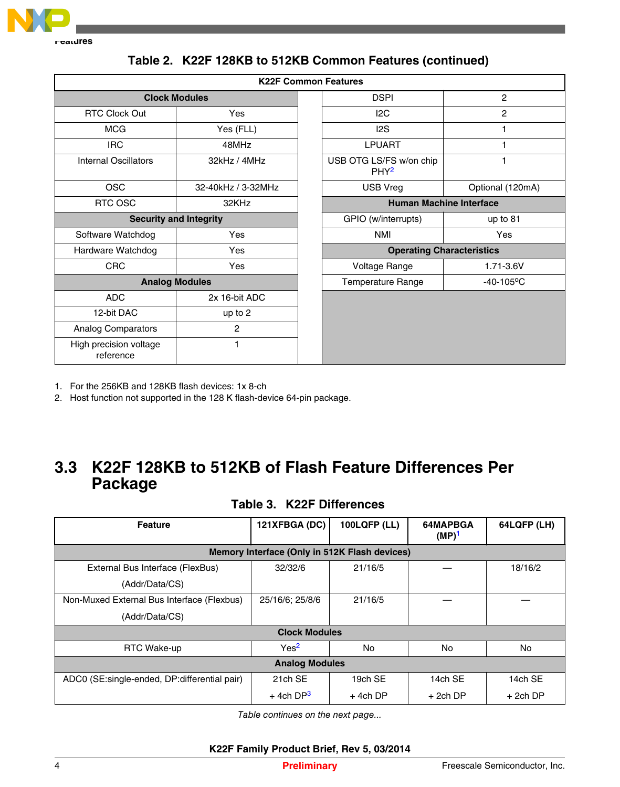<span id="page-3-0"></span>

| <b>K22F Common Features</b>         |                               |  |                                             |                          |  |
|-------------------------------------|-------------------------------|--|---------------------------------------------|--------------------------|--|
|                                     | <b>Clock Modules</b>          |  | <b>DSPI</b>                                 | $\overline{c}$           |  |
| <b>RTC Clock Out</b>                | Yes                           |  | 12C                                         | $\overline{c}$           |  |
| <b>MCG</b>                          | Yes (FLL)                     |  | 12S                                         | 1                        |  |
| <b>IRC</b>                          | 48MHz                         |  | <b>LPUART</b>                               | 1                        |  |
| <b>Internal Oscillators</b>         | 32kHz / 4MHz                  |  | USB OTG LS/FS w/on chip<br>PHY <sup>2</sup> | 1                        |  |
| <b>OSC</b>                          | 32-40kHz / 3-32MHz            |  | USB Vreg                                    | Optional (120mA)         |  |
| RTC OSC<br>32KHz                    |                               |  | <b>Human Machine Interface</b>              |                          |  |
|                                     | <b>Security and Integrity</b> |  | GPIO (w/interrupts)                         | up to $81$               |  |
| Software Watchdog                   | Yes                           |  | <b>NMI</b>                                  | Yes                      |  |
| Hardware Watchdog                   | Yes                           |  | <b>Operating Characteristics</b>            |                          |  |
| <b>CRC</b>                          | Yes                           |  | Voltage Range                               | 1.71-3.6V                |  |
| <b>Analog Modules</b>               |                               |  | <b>Temperature Range</b>                    | $-40-105$ <sup>o</sup> C |  |
| <b>ADC</b>                          | 2x 16-bit ADC                 |  |                                             |                          |  |
| 12-bit DAC                          | up to 2                       |  |                                             |                          |  |
| <b>Analog Comparators</b>           | $\overline{2}$                |  |                                             |                          |  |
| High precision voltage<br>reference | 1                             |  |                                             |                          |  |

#### **Table 2. K22F 128KB to 512KB Common Features (continued)**

1. For the 256KB and 128KB flash devices: 1x 8-ch

2. Host function not supported in the 128 K flash-device 64-pin package.

## **3.3 K22F 128KB to 512KB of Flash Feature Differences Per Package**

#### **Table 3. K22F Differences**

| <b>Feature</b>                                | 121XFBGA (DC)           | <b>100LQFP (LL)</b> | 64MAPBGA<br>$(MP)^1$ | 64LQFP (LH) |  |
|-----------------------------------------------|-------------------------|---------------------|----------------------|-------------|--|
| Memory Interface (Only in 512K Flash devices) |                         |                     |                      |             |  |
| External Bus Interface (FlexBus)              | 32/32/6                 | 21/16/5             |                      | 18/16/2     |  |
| (Addr/Data/CS)                                |                         |                     |                      |             |  |
| Non-Muxed External Bus Interface (Flexbus)    | 25/16/6; 25/8/6         | 21/16/5             |                      |             |  |
| (Addr/Data/CS)                                |                         |                     |                      |             |  |
|                                               | <b>Clock Modules</b>    |                     |                      |             |  |
| <b>RTC Wake-up</b>                            | Yes <sup>2</sup>        | No                  | No.                  | <b>No</b>   |  |
|                                               | <b>Analog Modules</b>   |                     |                      |             |  |
| ADC0 (SE:single-ended, DP:differential pair)  | 21ch SE                 | 19ch SE             | 14ch SE              | 14ch SE     |  |
|                                               | $+$ 4ch DP <sup>3</sup> | $+$ 4ch DP          | $+2$ ch DP           | $+2$ ch DP  |  |

*Table continues on the next page...*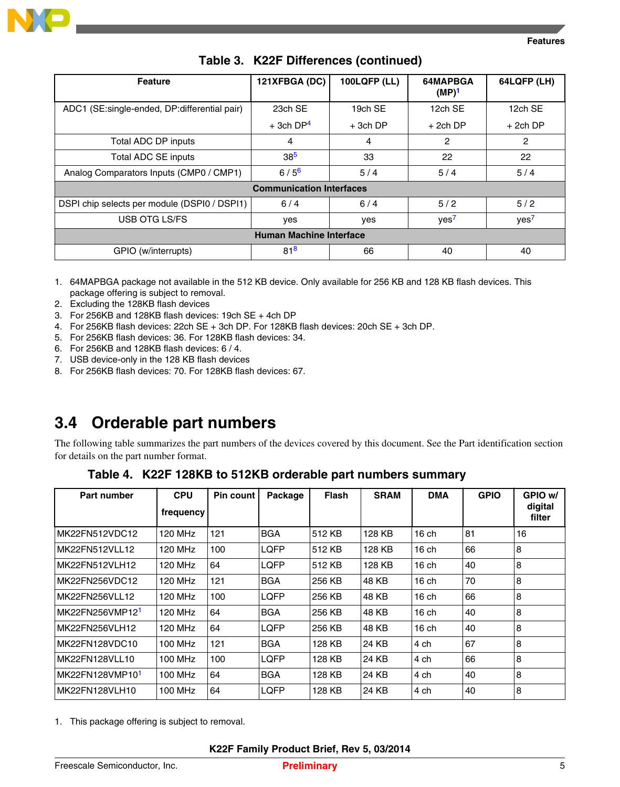<span id="page-4-0"></span>

| <b>Feature</b>                               | 121XFBGA (DC)                   | <b>100LQFP (LL)</b> | 64MAPBGA<br>$(MP)^1$ | 64LQFP (LH)      |
|----------------------------------------------|---------------------------------|---------------------|----------------------|------------------|
| ADC1 (SE:single-ended, DP:differential pair) | 23ch SE                         | 19ch SE             | 12ch SE              | 12ch SE          |
|                                              | $+$ 3ch DP <sup>4</sup>         | $+3ch$ DP           | $+2$ ch DP           | $+2$ ch DP       |
| Total ADC DP inputs                          | 4                               | 4                   | 2                    | 2                |
| Total ADC SE inputs                          | 38 <sup>5</sup>                 | 33                  | 22                   | 22               |
| Analog Comparators Inputs (CMP0 / CMP1)      | $6/5^{6}$                       | 5/4                 | 5/4                  | 5/4              |
|                                              | <b>Communication Interfaces</b> |                     |                      |                  |
| DSPI chip selects per module (DSPI0 / DSPI1) | 6/4                             | 6/4                 | 5/2                  | 5/2              |
| USB OTG LS/FS                                | yes                             | yes                 | yes <sup>7</sup>     | yes <sup>7</sup> |
| <b>Human Machine Interface</b>               |                                 |                     |                      |                  |
| GPIO (w/interrupts)                          | 81 <sup>8</sup>                 | 66                  | 40                   | 40               |

#### **Table 3. K22F Differences (continued)**

- 1. 64MAPBGA package not available in the 512 KB device. Only available for 256 KB and 128 KB flash devices. This package offering is subject to removal.
- 2. Excluding the 128KB flash devices
- 3. For 256KB and 128KB flash devices: 19ch SE + 4ch DP
- 4. For 256KB flash devices: 22ch SE + 3ch DP. For 128KB flash devices: 20ch SE + 3ch DP.
- 5. For 256KB flash devices: 36. For 128KB flash devices: 34.
- 6. For 256KB and 128KB flash devices: 6 / 4.
- 7. USB device-only in the 128 KB flash devices
- 8. For 256KB flash devices: 70. For 128KB flash devices: 67.

## **3.4 Orderable part numbers**

The following table summarizes the part numbers of the devices covered by this document. See the Part identification section for details on the part number format.

#### **Table 4. K22F 128KB to 512KB orderable part numbers summary**

| Part number                 | <b>CPU</b> | Pin count | Package     | <b>Flash</b> | <b>SRAM</b> | <b>DMA</b> | <b>GPIO</b> | GPIO w/           |
|-----------------------------|------------|-----------|-------------|--------------|-------------|------------|-------------|-------------------|
|                             | frequency  |           |             |              |             |            |             | digital<br>filter |
| MK22FN512VDC12              | 120 MHz    | 121       | <b>BGA</b>  | 512 KB       | 128 KB      | $16$ ch    | 81          | 16                |
| MK22FN512VLL12              | 120 MHz    | 100       | <b>LOFP</b> | 512 KB       | 128 KB      | $16$ ch    | 66          | 8                 |
| MK22FN512VLH12              | 120 MHz    | 64        | LQFP        | 512 KB       | 128 KB      | $16$ ch    | 40          | 8                 |
| MK22FN256VDC12              | 120 MHz    | 121       | <b>BGA</b>  | 256 KB       | 48 KB       | $16$ ch    | 70          | 8                 |
| MK22FN256VLL12              | 120 MHz    | 100       | <b>LQFP</b> | 256 KB       | 48 KB       | $16$ ch    | 66          | 8                 |
| MK22FN256VMP12 <sup>1</sup> | 120 MHz    | 64        | <b>BGA</b>  | 256 KB       | 48 KB       | $16$ ch    | 40          | 8                 |
| MK22FN256VLH12              | 120 MHz    | 64        | <b>LQFP</b> | 256 KB       | 48 KB       | $16$ ch    | 40          | 8                 |
| MK22FN128VDC10              | 100 MHz    | 121       | <b>BGA</b>  | 128 KB       | 24 KB       | 4 ch       | 67          | 8                 |
| MK22FN128VLL10              | 100 MHz    | 100       | <b>LQFP</b> | 128 KB       | 24 KB       | 4 ch       | 66          | 8                 |
| MK22FN128VMP10 <sup>1</sup> | 100 MHz    | 64        | <b>BGA</b>  | 128 KB       | 24 KB       | 4 ch       | 40          | 8                 |
| MK22FN128VLH10              | 100 MHz    | 64        | LQFP        | 128 KB       | 24 KB       | 4 ch       | 40          | 8                 |

1. This package offering is subject to removal.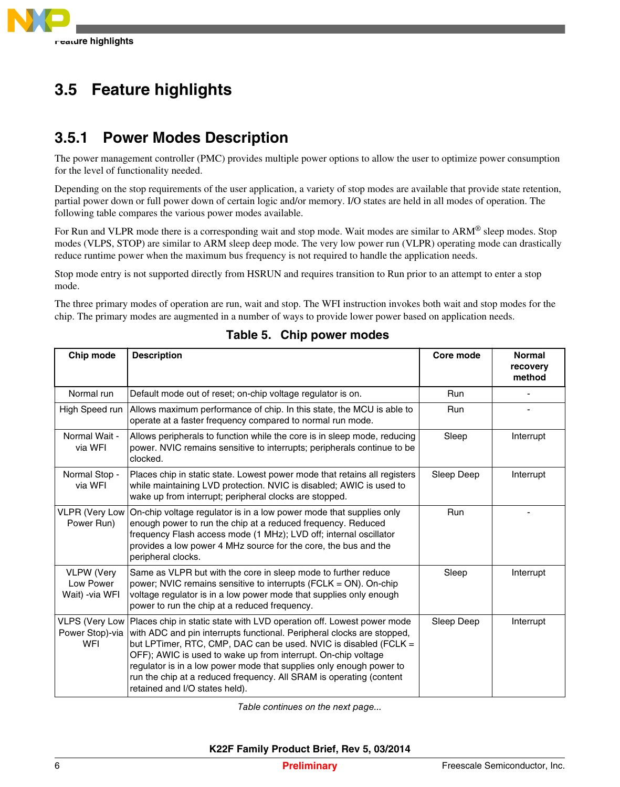

#### **Feature highlights 3.5**

## **3.5.1 Power Modes Description**

The power management controller (PMC) provides multiple power options to allow the user to optimize power consumption for the level of functionality needed.

Depending on the stop requirements of the user application, a variety of stop modes are available that provide state retention, partial power down or full power down of certain logic and/or memory. I/O states are held in all modes of operation. The following table compares the various power modes available.

For Run and VLPR mode there is a corresponding wait and stop mode. Wait modes are similar to ARM® sleep modes. Stop modes (VLPS, STOP) are similar to ARM sleep deep mode. The very low power run (VLPR) operating mode can drastically reduce runtime power when the maximum bus frequency is not required to handle the application needs.

Stop mode entry is not supported directly from HSRUN and requires transition to Run prior to an attempt to enter a stop mode.

The three primary modes of operation are run, wait and stop. The WFI instruction invokes both wait and stop modes for the chip. The primary modes are augmented in a number of ways to provide lower power based on application needs.

| Chip mode                                         | <b>Description</b>                                                                                                                                                                                                                                                                                                                                                                                                                                                   | Core mode  | <b>Normal</b><br>recovery<br>method |
|---------------------------------------------------|----------------------------------------------------------------------------------------------------------------------------------------------------------------------------------------------------------------------------------------------------------------------------------------------------------------------------------------------------------------------------------------------------------------------------------------------------------------------|------------|-------------------------------------|
| Normal run                                        | Default mode out of reset; on-chip voltage regulator is on.                                                                                                                                                                                                                                                                                                                                                                                                          | <b>Run</b> |                                     |
| High Speed run                                    | Allows maximum performance of chip. In this state, the MCU is able to<br>operate at a faster frequency compared to normal run mode.                                                                                                                                                                                                                                                                                                                                  | Run        |                                     |
| Normal Wait -<br>via WFI                          | Allows peripherals to function while the core is in sleep mode, reducing<br>power. NVIC remains sensitive to interrupts; peripherals continue to be<br>clocked.                                                                                                                                                                                                                                                                                                      | Sleep      | Interrupt                           |
| Normal Stop -<br>via WFI                          | Places chip in static state. Lowest power mode that retains all registers<br>while maintaining LVD protection. NVIC is disabled; AWIC is used to<br>wake up from interrupt; peripheral clocks are stopped.                                                                                                                                                                                                                                                           | Sleep Deep | Interrupt                           |
| <b>VLPR (Very Low)</b><br>Power Run)              | On-chip voltage regulator is in a low power mode that supplies only<br>enough power to run the chip at a reduced frequency. Reduced<br>frequency Flash access mode (1 MHz); LVD off; internal oscillator<br>provides a low power 4 MHz source for the core, the bus and the<br>peripheral clocks.                                                                                                                                                                    | <b>Run</b> |                                     |
| <b>VLPW (Very</b><br>Low Power<br>Wait) - via WFI | Same as VLPR but with the core in sleep mode to further reduce<br>power; NVIC remains sensitive to interrupts (FCLK = ON). On-chip<br>voltage regulator is in a low power mode that supplies only enough<br>power to run the chip at a reduced frequency.                                                                                                                                                                                                            | Sleep      | Interrupt                           |
| VLPS (Very Low<br>Power Stop)-via<br><b>WFI</b>   | Places chip in static state with LVD operation off. Lowest power mode<br>with ADC and pin interrupts functional. Peripheral clocks are stopped,<br>but LPTimer, RTC, CMP, DAC can be used. NVIC is disabled (FCLK =<br>OFF); AWIC is used to wake up from interrupt. On-chip voltage<br>regulator is in a low power mode that supplies only enough power to<br>run the chip at a reduced frequency. All SRAM is operating (content<br>retained and I/O states held). | Sleep Deep | Interrupt                           |

### **Table 5. Chip power modes**

*Table continues on the next page...*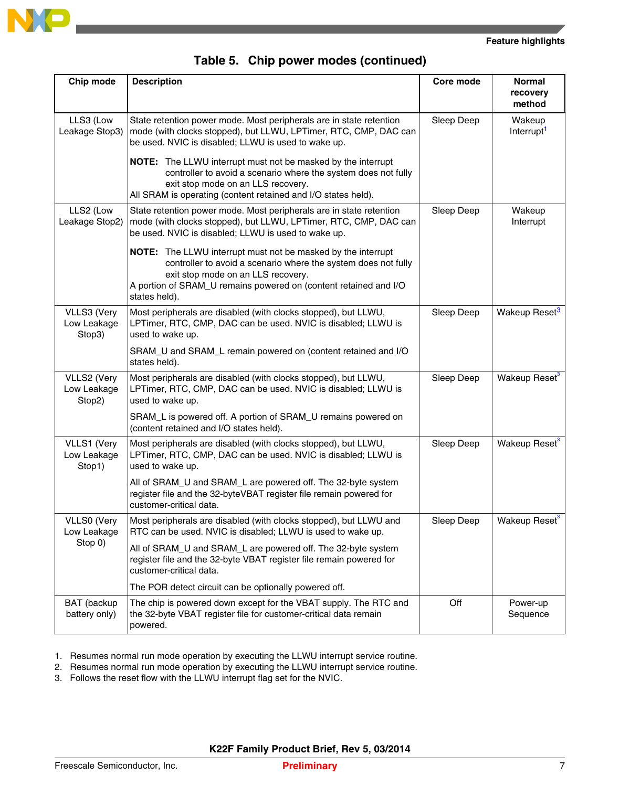

| Chip mode                            | <b>Description</b>                                                                                                                                                                                                                                        | Core mode  | <b>Normal</b><br>recovery<br>method |
|--------------------------------------|-----------------------------------------------------------------------------------------------------------------------------------------------------------------------------------------------------------------------------------------------------------|------------|-------------------------------------|
| LLS3 (Low<br>Leakage Stop3)          | State retention power mode. Most peripherals are in state retention<br>mode (with clocks stopped), but LLWU, LPTimer, RTC, CMP, DAC can<br>be used. NVIC is disabled; LLWU is used to wake up.                                                            | Sleep Deep | Wakeup<br>Interrupt <sup>1</sup>    |
|                                      | <b>NOTE:</b> The LLWU interrupt must not be masked by the interrupt<br>controller to avoid a scenario where the system does not fully<br>exit stop mode on an LLS recovery.<br>All SRAM is operating (content retained and I/O states held).              |            |                                     |
| LLS2 (Low<br>Leakage Stop2)          | State retention power mode. Most peripherals are in state retention<br>mode (with clocks stopped), but LLWU, LPTimer, RTC, CMP, DAC can<br>be used. NVIC is disabled; LLWU is used to wake up.                                                            | Sleep Deep | Wakeup<br>Interrupt                 |
|                                      | NOTE: The LLWU interrupt must not be masked by the interrupt<br>controller to avoid a scenario where the system does not fully<br>exit stop mode on an LLS recovery.<br>A portion of SRAM_U remains powered on (content retained and I/O<br>states held). |            |                                     |
| VLLS3 (Very<br>Low Leakage<br>Stop3) | Most peripherals are disabled (with clocks stopped), but LLWU,<br>LPTimer, RTC, CMP, DAC can be used. NVIC is disabled; LLWU is<br>used to wake up.                                                                                                       | Sleep Deep | Wakeup Reset <sup>3</sup>           |
|                                      | SRAM_U and SRAM_L remain powered on (content retained and I/O<br>states held).                                                                                                                                                                            |            |                                     |
| VLLS2 (Very<br>Low Leakage<br>Stop2) | Most peripherals are disabled (with clocks stopped), but LLWU,<br>LPTimer, RTC, CMP, DAC can be used. NVIC is disabled; LLWU is<br>used to wake up.                                                                                                       | Sleep Deep | Wakeup Reset <sup>3</sup>           |
|                                      | SRAM_L is powered off. A portion of SRAM_U remains powered on<br>(content retained and I/O states held).                                                                                                                                                  |            |                                     |
| VLLS1 (Very<br>Low Leakage<br>Stop1) | Most peripherals are disabled (with clocks stopped), but LLWU,<br>LPTimer, RTC, CMP, DAC can be used. NVIC is disabled; LLWU is<br>used to wake up.                                                                                                       | Sleep Deep | Wakeup Reset <sup>3</sup>           |
|                                      | All of SRAM_U and SRAM_L are powered off. The 32-byte system<br>register file and the 32-byteVBAT register file remain powered for<br>customer-critical data.                                                                                             |            |                                     |
| VLLS0 (Very<br>Low Leakage           | Most peripherals are disabled (with clocks stopped), but LLWU and<br>RTC can be used. NVIC is disabled; LLWU is used to wake up.                                                                                                                          | Sleep Deep | Wakeup Reset <sup>3</sup>           |
| Stop 0)                              | All of SRAM_U and SRAM_L are powered off. The 32-byte system<br>register file and the 32-byte VBAT register file remain powered for<br>customer-critical data.                                                                                            |            |                                     |
|                                      | The POR detect circuit can be optionally powered off.                                                                                                                                                                                                     |            |                                     |
| BAT (backup<br>battery only)         | The chip is powered down except for the VBAT supply. The RTC and<br>the 32-byte VBAT register file for customer-critical data remain<br>powered.                                                                                                          | Off        | Power-up<br>Sequence                |

#### **Table 5. Chip power modes (continued)**

1. Resumes normal run mode operation by executing the LLWU interrupt service routine.

2. Resumes normal run mode operation by executing the LLWU interrupt service routine.

3. Follows the reset flow with the LLWU interrupt flag set for the NVIC.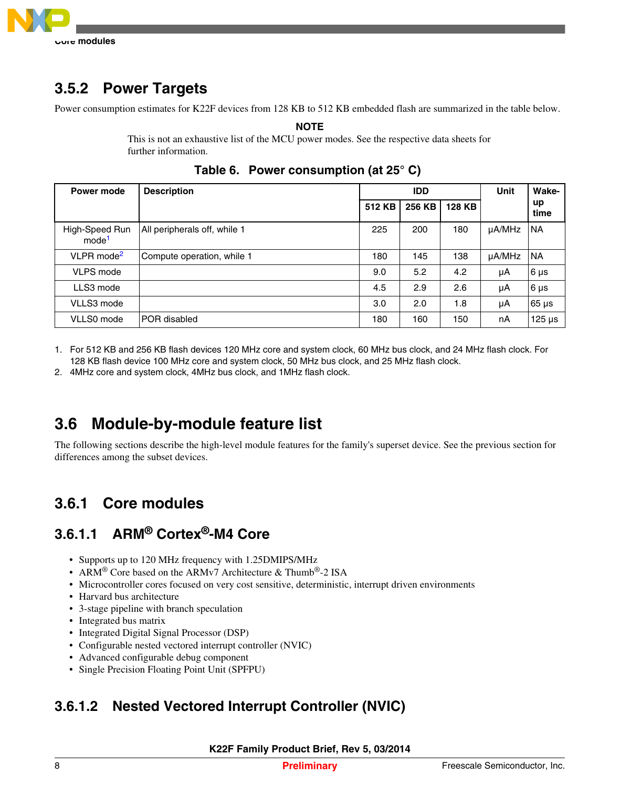

## **3.5.2 Power Targets**

Power consumption estimates for K22F devices from 128 KB to 512 KB embedded flash are summarized in the table below.

**NOTE**

This is not an exhaustive list of the MCU power modes. See the respective data sheets for further information.

| Power mode                          | <b>Description</b>           | <b>IDD</b> |        |        | <b>Unit</b> | Wake-       |
|-------------------------------------|------------------------------|------------|--------|--------|-------------|-------------|
|                                     |                              | 512 KB     | 256 KB | 128 KB |             | up<br>time  |
| High-Speed Run<br>mode <sup>1</sup> | All peripherals off, while 1 | 225        | 200    | 180    | µA/MHz      | <b>NA</b>   |
| VLPR mode <sup>2</sup>              | Compute operation, while 1   | 180        | 145    | 138    | µA/MHz      | <b>NA</b>   |
| VLPS mode                           |                              | 9.0        | 5.2    | 4.2    | μA          | $6 \mu s$   |
| LLS3 mode                           |                              | 4.5        | 2.9    | 2.6    | μA          | $6 \mu s$   |
| VLLS3 mode                          |                              | 3.0        | 2.0    | 1.8    | μA          | $65 \mu s$  |
| VLLS0 mode                          | POR disabled                 | 180        | 160    | 150    | nA          | $125 \mu s$ |

**Table 6. Power consumption (at 25° C)**

1. For 512 KB and 256 KB flash devices 120 MHz core and system clock, 60 MHz bus clock, and 24 MHz flash clock. For 128 KB flash device 100 MHz core and system clock, 50 MHz bus clock, and 25 MHz flash clock.

2. 4MHz core and system clock, 4MHz bus clock, and 1MHz flash clock.

## **3.6 Module-by-module feature list**

The following sections describe the high-level module features for the family's superset device. See the previous section for differences among the subset devices.

#### **Core modules 3.6.1**

### **3.6.1.1 ARM® Cortex®-M4 Core**

- Supports up to 120 MHz frequency with 1.25DMIPS/MHz
- ARM<sup>®</sup> Core based on the ARMv7 Architecture & Thumb<sup>®</sup>-2 ISA
- Microcontroller cores focused on very cost sensitive, deterministic, interrupt driven environments
- Harvard bus architecture
- 3-stage pipeline with branch speculation
- Integrated bus matrix
- Integrated Digital Signal Processor (DSP)
- Configurable nested vectored interrupt controller (NVIC)
- Advanced configurable debug component
- Single Precision Floating Point Unit (SPFPU)

## **3.6.1.2 Nested Vectored Interrupt Controller (NVIC)**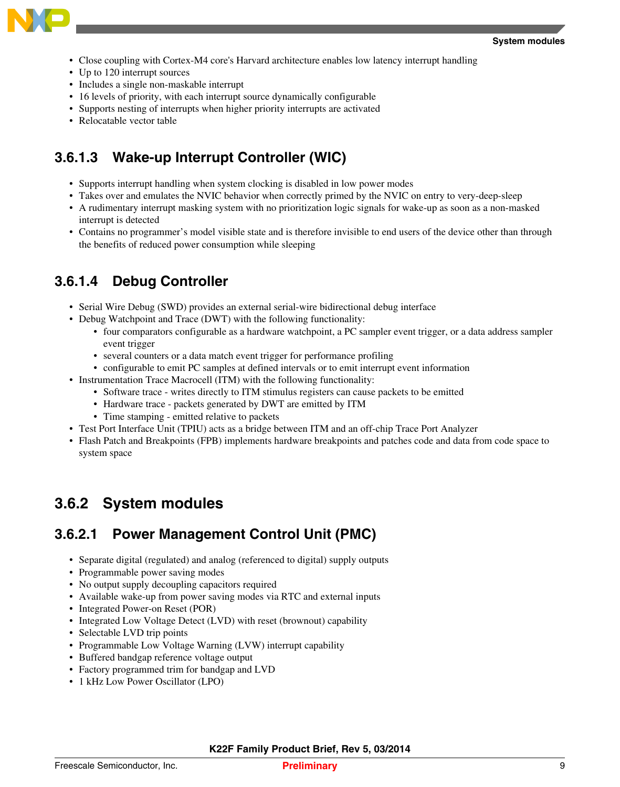

- Close coupling with Cortex-M4 core's Harvard architecture enables low latency interrupt handling
- Up to 120 interrupt sources
- Includes a single non-maskable interrupt
- 16 levels of priority, with each interrupt source dynamically configurable
- Supports nesting of interrupts when higher priority interrupts are activated
- Relocatable vector table

### **3.6.1.3 Wake-up Interrupt Controller (WIC)**

- Supports interrupt handling when system clocking is disabled in low power modes
- Takes over and emulates the NVIC behavior when correctly primed by the NVIC on entry to very-deep-sleep
- A rudimentary interrupt masking system with no prioritization logic signals for wake-up as soon as a non-masked interrupt is detected
- Contains no programmer's model visible state and is therefore invisible to end users of the device other than through the benefits of reduced power consumption while sleeping

### **3.6.1.4 Debug Controller**

- Serial Wire Debug (SWD) provides an external serial-wire bidirectional debug interface
- Debug Watchpoint and Trace (DWT) with the following functionality:
	- four comparators configurable as a hardware watchpoint, a PC sampler event trigger, or a data address sampler event trigger
	- several counters or a data match event trigger for performance profiling
	- configurable to emit PC samples at defined intervals or to emit interrupt event information
- Instrumentation Trace Macrocell (ITM) with the following functionality:
	- Software trace writes directly to ITM stimulus registers can cause packets to be emitted
	- Hardware trace packets generated by DWT are emitted by ITM
	- Time stamping emitted relative to packets
- Test Port Interface Unit (TPIU) acts as a bridge between ITM and an off-chip Trace Port Analyzer
- Flash Patch and Breakpoints (FPB) implements hardware breakpoints and patches code and data from code space to system space

#### **System modules 3.6.2**

### **3.6.2.1 Power Management Control Unit (PMC)**

- Separate digital (regulated) and analog (referenced to digital) supply outputs
- Programmable power saving modes
- No output supply decoupling capacitors required
- Available wake-up from power saving modes via RTC and external inputs
- Integrated Power-on Reset (POR)
- Integrated Low Voltage Detect (LVD) with reset (brownout) capability
- Selectable LVD trip points
- Programmable Low Voltage Warning (LVW) interrupt capability
- Buffered bandgap reference voltage output
- Factory programmed trim for bandgap and LVD
- 1 kHz Low Power Oscillator (LPO)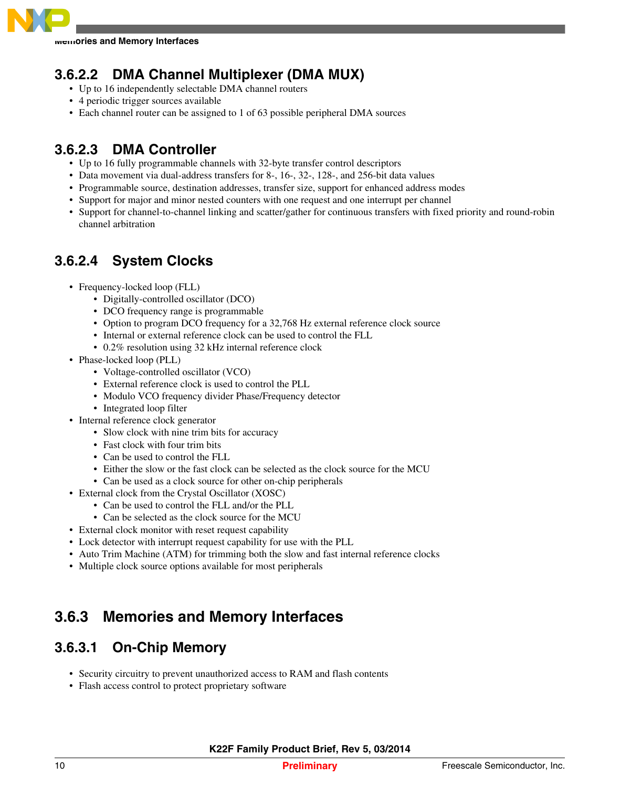

**Memories and Memory Interfaces**

### **3.6.2.2 DMA Channel Multiplexer (DMA MUX)**

- Up to 16 independently selectable DMA channel routers
- 4 periodic trigger sources available
- Each channel router can be assigned to 1 of 63 possible peripheral DMA sources

### **3.6.2.3 DMA Controller**

- Up to 16 fully programmable channels with 32-byte transfer control descriptors
- Data movement via dual-address transfers for 8-, 16-, 32-, 128-, and 256-bit data values
- Programmable source, destination addresses, transfer size, support for enhanced address modes
- Support for major and minor nested counters with one request and one interrupt per channel
- Support for channel-to-channel linking and scatter/gather for continuous transfers with fixed priority and round-robin channel arbitration

### **3.6.2.4 System Clocks**

- Frequency-locked loop (FLL)
	- Digitally-controlled oscillator (DCO)
	- DCO frequency range is programmable
	- Option to program DCO frequency for a 32,768 Hz external reference clock source
	- Internal or external reference clock can be used to control the FLL
	- 0.2% resolution using 32 kHz internal reference clock
- Phase-locked loop (PLL)
	- Voltage-controlled oscillator (VCO)
	- External reference clock is used to control the PLL
	- Modulo VCO frequency divider Phase/Frequency detector
	- Integrated loop filter
- Internal reference clock generator
	- Slow clock with nine trim bits for accuracy
	- Fast clock with four trim bits
	- Can be used to control the FLL
	- Either the slow or the fast clock can be selected as the clock source for the MCU
	- Can be used as a clock source for other on-chip peripherals
- External clock from the Crystal Oscillator (XOSC)
	- Can be used to control the FLL and/or the PLL
	- Can be selected as the clock source for the MCU
- External clock monitor with reset request capability
- Lock detector with interrupt request capability for use with the PLL
- Auto Trim Machine (ATM) for trimming both the slow and fast internal reference clocks
- Multiple clock source options available for most peripherals

#### **Memories and Memory Interfaces 3.6.3**

### **3.6.3.1 On-Chip Memory**

- Security circuitry to prevent unauthorized access to RAM and flash contents
- Flash access control to protect proprietary software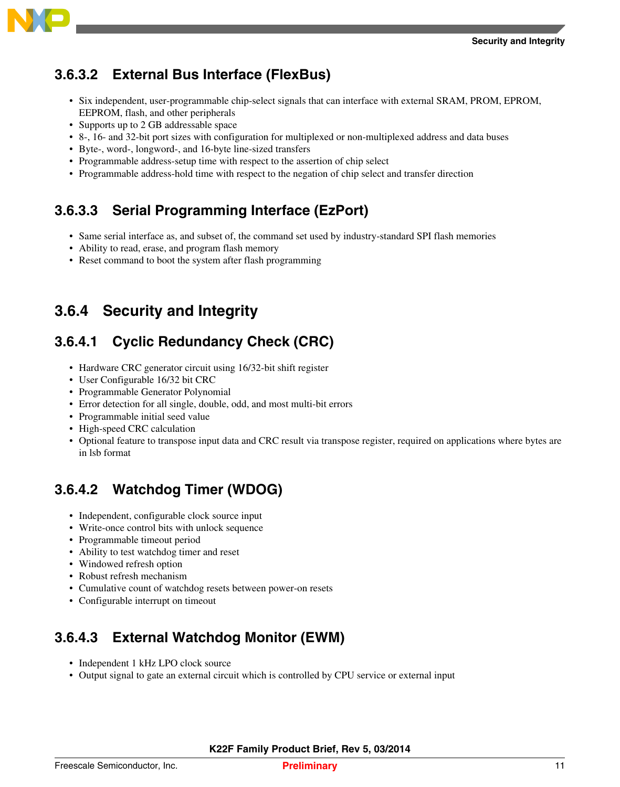

## **3.6.3.2 External Bus Interface (FlexBus)**

- Six independent, user-programmable chip-select signals that can interface with external SRAM, PROM, EPROM, EEPROM, flash, and other peripherals
- Supports up to 2 GB addressable space
- 8-, 16- and 32-bit port sizes with configuration for multiplexed or non-multiplexed address and data buses
- Byte-, word-, longword-, and 16-byte line-sized transfers
- Programmable address-setup time with respect to the assertion of chip select
- Programmable address-hold time with respect to the negation of chip select and transfer direction

## **3.6.3.3 Serial Programming Interface (EzPort)**

- Same serial interface as, and subset of, the command set used by industry-standard SPI flash memories
- Ability to read, erase, and program flash memory
- Reset command to boot the system after flash programming

#### **Security and Integrity 3.6.4**

## **3.6.4.1 Cyclic Redundancy Check (CRC)**

- Hardware CRC generator circuit using 16/32-bit shift register
- User Configurable 16/32 bit CRC
- Programmable Generator Polynomial
- Error detection for all single, double, odd, and most multi-bit errors
- Programmable initial seed value
- High-speed CRC calculation
- Optional feature to transpose input data and CRC result via transpose register, required on applications where bytes are in lsb format

## **3.6.4.2 Watchdog Timer (WDOG)**

- Independent, configurable clock source input
- Write-once control bits with unlock sequence
- Programmable timeout period
- Ability to test watchdog timer and reset
- Windowed refresh option
- Robust refresh mechanism
- Cumulative count of watchdog resets between power-on resets
- Configurable interrupt on timeout

## **3.6.4.3 External Watchdog Monitor (EWM)**

- Independent 1 kHz LPO clock source
- Output signal to gate an external circuit which is controlled by CPU service or external input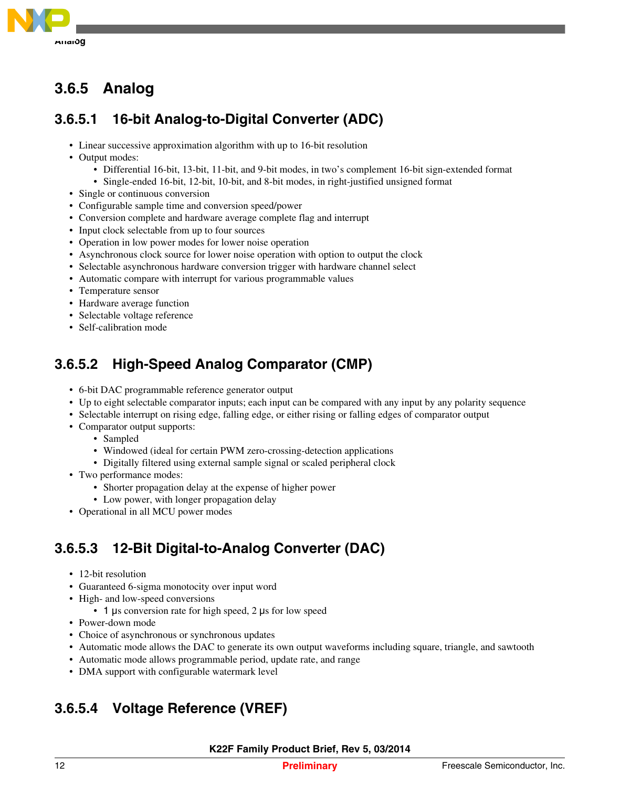

#### **Analog 3.6.5**

### **3.6.5.1 16-bit Analog-to-Digital Converter (ADC)**

- Linear successive approximation algorithm with up to 16-bit resolution
- Output modes:
	- Differential 16-bit, 13-bit, 11-bit, and 9-bit modes, in two's complement 16-bit sign-extended format
	- Single-ended 16-bit, 12-bit, 10-bit, and 8-bit modes, in right-justified unsigned format
- Single or continuous conversion
- Configurable sample time and conversion speed/power
- Conversion complete and hardware average complete flag and interrupt
- Input clock selectable from up to four sources
- Operation in low power modes for lower noise operation
- Asynchronous clock source for lower noise operation with option to output the clock
- Selectable asynchronous hardware conversion trigger with hardware channel select
- Automatic compare with interrupt for various programmable values
- Temperature sensor
- Hardware average function
- Selectable voltage reference
- Self-calibration mode

## **3.6.5.2 High-Speed Analog Comparator (CMP)**

- 6-bit DAC programmable reference generator output
- Up to eight selectable comparator inputs; each input can be compared with any input by any polarity sequence
- Selectable interrupt on rising edge, falling edge, or either rising or falling edges of comparator output
- Comparator output supports:
	- Sampled
	- Windowed (ideal for certain PWM zero-crossing-detection applications
	- Digitally filtered using external sample signal or scaled peripheral clock
- Two performance modes:
	- Shorter propagation delay at the expense of higher power
	- Low power, with longer propagation delay
- Operational in all MCU power modes

## **3.6.5.3 12-Bit Digital-to-Analog Converter (DAC)**

- 12-bit resolution
- Guaranteed 6-sigma monotocity over input word
- High- and low-speed conversions
	- 1 μs conversion rate for high speed, 2 μs for low speed
- Power-down mode
- Choice of asynchronous or synchronous updates
- Automatic mode allows the DAC to generate its own output waveforms including square, triangle, and sawtooth
- Automatic mode allows programmable period, update rate, and range
- DMA support with configurable watermark level

## **3.6.5.4 Voltage Reference (VREF)**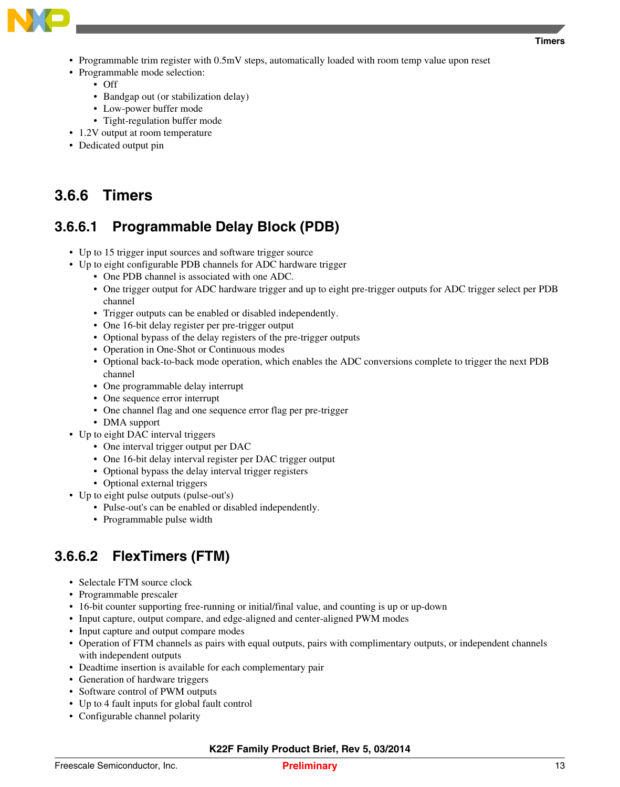

- Programmable trim register with 0.5mV steps, automatically loaded with room temp value upon reset
- Programmable mode selection:
	- Off
	- Bandgap out (or stabilization delay)
	- Low-power buffer mode
	- Tight-regulation buffer mode
- 1.2V output at room temperature
- Dedicated output pin

#### **Timers 3.6.6**

### **3.6.6.1 Programmable Delay Block (PDB)**

- Up to 15 trigger input sources and software trigger source
- Up to eight configurable PDB channels for ADC hardware trigger
	- One PDB channel is associated with one ADC.
	- One trigger output for ADC hardware trigger and up to eight pre-trigger outputs for ADC trigger select per PDB channel
	- Trigger outputs can be enabled or disabled independently.
	- One 16-bit delay register per pre-trigger output
	- Optional bypass of the delay registers of the pre-trigger outputs
	- Operation in One-Shot or Continuous modes
	- Optional back-to-back mode operation, which enables the ADC conversions complete to trigger the next PDB channel
	- One programmable delay interrupt
	- One sequence error interrupt
	- One channel flag and one sequence error flag per pre-trigger
	- DMA support
- Up to eight DAC interval triggers
	- One interval trigger output per DAC
	- One 16-bit delay interval register per DAC trigger output
	- Optional bypass the delay interval trigger registers
	- Optional external triggers
- Up to eight pulse outputs (pulse-out's)
	- Pulse-out's can be enabled or disabled independently.
	- Programmable pulse width

### **3.6.6.2 FlexTimers (FTM)**

- Selectale FTM source clock
- Programmable prescaler
- 16-bit counter supporting free-running or initial/final value, and counting is up or up-down
- Input capture, output compare, and edge-aligned and center-aligned PWM modes
- Input capture and output compare modes
- Operation of FTM channels as pairs with equal outputs, pairs with complimentary outputs, or independent channels with independent outputs
- Deadtime insertion is available for each complementary pair
- Generation of hardware triggers
- Software control of PWM outputs
- Up to 4 fault inputs for global fault control
- Configurable channel polarity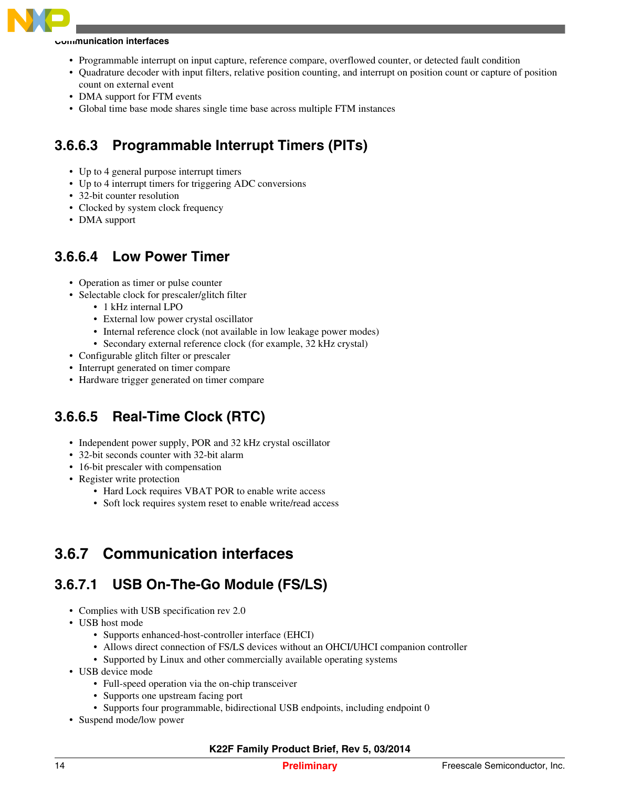

#### **Communication interfaces**

- Programmable interrupt on input capture, reference compare, overflowed counter, or detected fault condition
- Quadrature decoder with input filters, relative position counting, and interrupt on position count or capture of position count on external event
- DMA support for FTM events
- Global time base mode shares single time base across multiple FTM instances

## **3.6.6.3 Programmable Interrupt Timers (PITs)**

- Up to 4 general purpose interrupt timers
- Up to 4 interrupt timers for triggering ADC conversions
- 32-bit counter resolution
- Clocked by system clock frequency
- DMA support

### **3.6.6.4 Low Power Timer**

- Operation as timer or pulse counter
- Selectable clock for prescaler/glitch filter
	- 1 kHz internal LPO
	- External low power crystal oscillator
	- Internal reference clock (not available in low leakage power modes)
	- Secondary external reference clock (for example, 32 kHz crystal)
- Configurable glitch filter or prescaler
- Interrupt generated on timer compare
- Hardware trigger generated on timer compare

### **3.6.6.5 Real-Time Clock (RTC)**

- Independent power supply, POR and 32 kHz crystal oscillator
- 32-bit seconds counter with 32-bit alarm
- 16-bit prescaler with compensation
- Register write protection
	- Hard Lock requires VBAT POR to enable write access
	- Soft lock requires system reset to enable write/read access

#### **Communication interfaces 3.6.7**

### **3.6.7.1 USB On-The-Go Module (FS/LS)**

- Complies with USB specification rev 2.0
- USB host mode
	- Supports enhanced-host-controller interface (EHCI)
	- Allows direct connection of FS/LS devices without an OHCI/UHCI companion controller
	- Supported by Linux and other commercially available operating systems
- USB device mode
	- Full-speed operation via the on-chip transceiver
	- Supports one upstream facing port
	- Supports four programmable, bidirectional USB endpoints, including endpoint 0
- Suspend mode/low power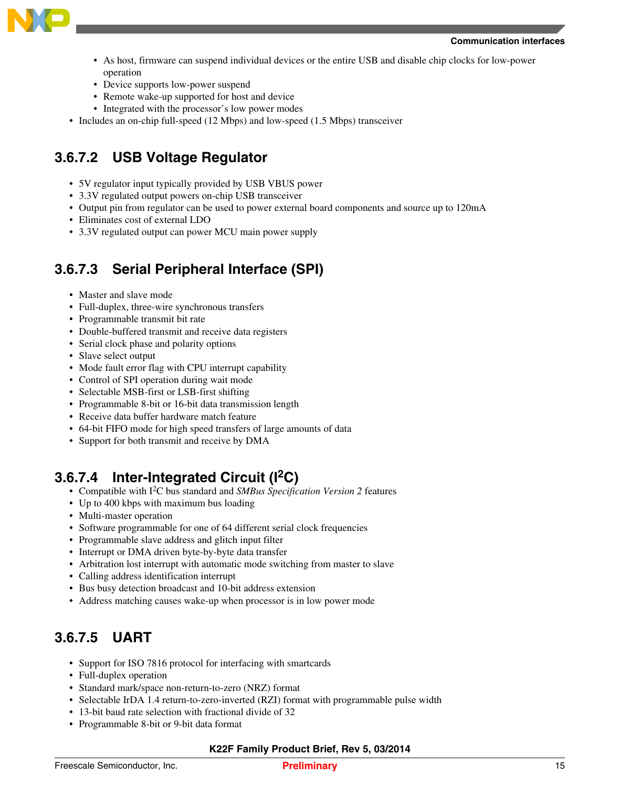

- As host, firmware can suspend individual devices or the entire USB and disable chip clocks for low-power operation
- Device supports low-power suspend
- Remote wake-up supported for host and device
- Integrated with the processor's low power modes
- Includes an on-chip full-speed (12 Mbps) and low-speed (1.5 Mbps) transceiver

## **3.6.7.2 USB Voltage Regulator**

- 5V regulator input typically provided by USB VBUS power
- 3.3V regulated output powers on-chip USB transceiver
- Output pin from regulator can be used to power external board components and source up to 120mA
- Eliminates cost of external LDO
- 3.3V regulated output can power MCU main power supply

### **3.6.7.3 Serial Peripheral Interface (SPI)**

- Master and slave mode
- Full-duplex, three-wire synchronous transfers
- Programmable transmit bit rate
- Double-buffered transmit and receive data registers
- Serial clock phase and polarity options
- Slave select output
- Mode fault error flag with CPU interrupt capability
- Control of SPI operation during wait mode
- Selectable MSB-first or LSB-first shifting
- Programmable 8-bit or 16-bit data transmission length
- Receive data buffer hardware match feature
- 64-bit FIFO mode for high speed transfers of large amounts of data
- Support for both transmit and receive by DMA

### **3.6.7.4 Inter-Integrated Circuit (I2C)**

- Compatible with I2C bus standard and *SMBus Specification Version 2* features
- Up to 400 kbps with maximum bus loading
- Multi-master operation
- Software programmable for one of 64 different serial clock frequencies
- Programmable slave address and glitch input filter
- Interrupt or DMA driven byte-by-byte data transfer
- Arbitration lost interrupt with automatic mode switching from master to slave
- Calling address identification interrupt
- Bus busy detection broadcast and 10-bit address extension
- Address matching causes wake-up when processor is in low power mode

## **3.6.7.5 UART**

- Support for ISO 7816 protocol for interfacing with smartcards
- Full-duplex operation
- Standard mark/space non-return-to-zero (NRZ) format
- Selectable IrDA 1.4 return-to-zero-inverted (RZI) format with programmable pulse width
- 13-bit baud rate selection with fractional divide of 32
- Programmable 8-bit or 9-bit data format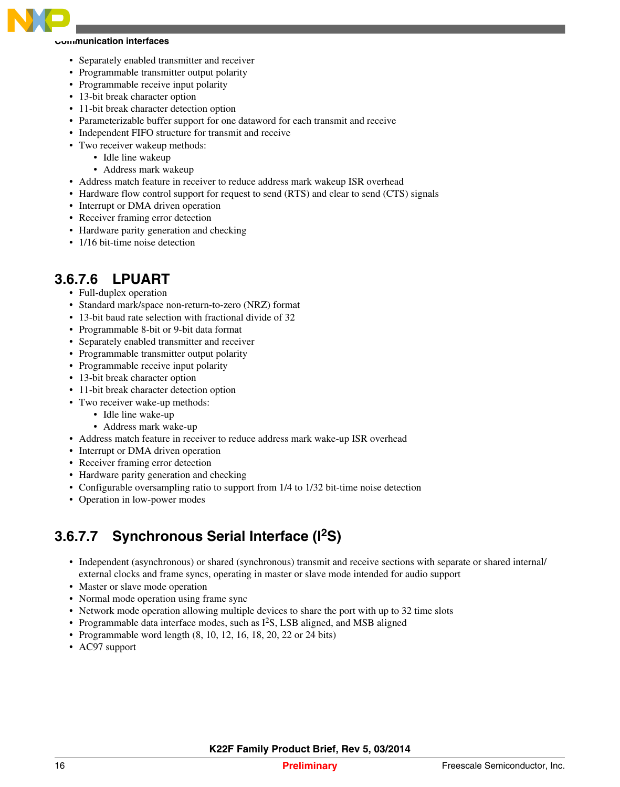

#### **Communication interfaces**

- Separately enabled transmitter and receiver
- Programmable transmitter output polarity
- Programmable receive input polarity
- 13-bit break character option
- 11-bit break character detection option
- Parameterizable buffer support for one dataword for each transmit and receive
- Independent FIFO structure for transmit and receive
- Two receiver wakeup methods:
	- Idle line wakeup
		- Address mark wakeup
- Address match feature in receiver to reduce address mark wakeup ISR overhead
- Hardware flow control support for request to send (RTS) and clear to send (CTS) signals
- Interrupt or DMA driven operation
- Receiver framing error detection
- Hardware parity generation and checking
- 1/16 bit-time noise detection

### **3.6.7.6 LPUART**

- Full-duplex operation
- Standard mark/space non-return-to-zero (NRZ) format
- 13-bit baud rate selection with fractional divide of 32
- Programmable 8-bit or 9-bit data format
- Separately enabled transmitter and receiver
- Programmable transmitter output polarity
- Programmable receive input polarity
- 13-bit break character option
- 11-bit break character detection option
- Two receiver wake-up methods:
	- Idle line wake-up
	- Address mark wake-up
- Address match feature in receiver to reduce address mark wake-up ISR overhead
- Interrupt or DMA driven operation
- Receiver framing error detection
- Hardware parity generation and checking
- Configurable oversampling ratio to support from 1/4 to 1/32 bit-time noise detection
- Operation in low-power modes

## **3.6.7.7 Synchronous Serial Interface (I2S)**

- Independent (asynchronous) or shared (synchronous) transmit and receive sections with separate or shared internal/ external clocks and frame syncs, operating in master or slave mode intended for audio support
- Master or slave mode operation
- Normal mode operation using frame sync
- Network mode operation allowing multiple devices to share the port with up to 32 time slots
- Programmable data interface modes, such as I<sup>2</sup>S, LSB aligned, and MSB aligned
- Programmable word length  $(8, 10, 12, 16, 18, 20, 22$  or  $24$  bits)
- AC97 support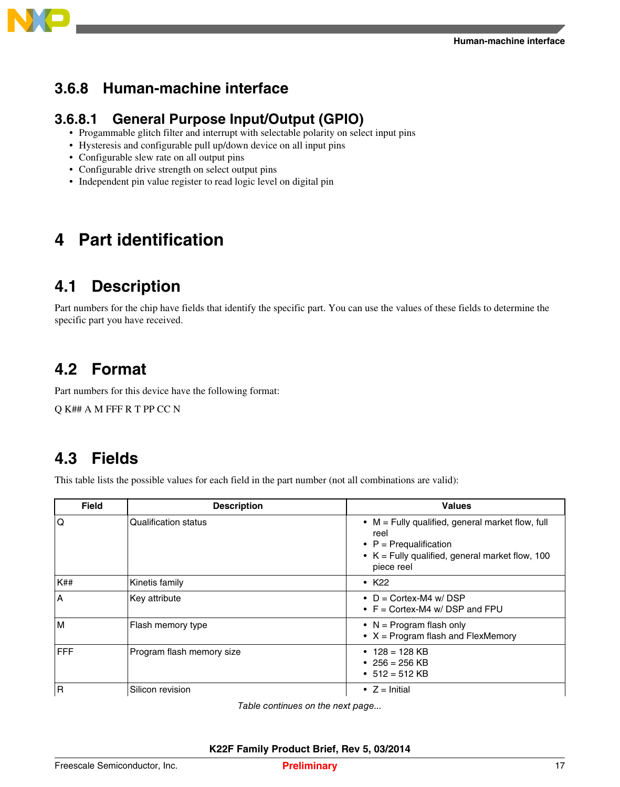<span id="page-16-0"></span>

#### **Human-machine interface 3.6.8**

#### **3.6.8.1 General Purpose Input/Output (GPIO)**

- Progammable glitch filter and interrupt with selectable polarity on select input pins
- Hysteresis and configurable pull up/down device on all input pins
- Configurable slew rate on all output pins
- Configurable drive strength on select output pins
- Independent pin value register to read logic level on digital pin

## **4 Part identification**

## **4.1 Description**

Part numbers for the chip have fields that identify the specific part. You can use the values of these fields to determine the specific part you have received.

## **4.2 Format**

Part numbers for this device have the following format:

Q K## A M FFF R T PP CC N

## **4.3 Fields**

This table lists the possible values for each field in the part number (not all combinations are valid):

| <b>Field</b> | <b>Description</b>        | <b>Values</b>                                                                                                                                                   |
|--------------|---------------------------|-----------------------------------------------------------------------------------------------------------------------------------------------------------------|
| ۱Q           | Qualification status      | $\bullet$ M = Fully qualified, general market flow, full<br>reel<br>• $P = Prequalification$<br>• $K =$ Fully qualified, general market flow, 100<br>piece reel |
| K##          | Kinetis family            | $\cdot$ K <sub>22</sub>                                                                                                                                         |
| ۱A           | Key attribute             | • $D =$ Cortex-M4 w/ DSP<br>• $F =$ Cortex-M4 w/DSP and FPU                                                                                                     |
| ١M           | Flash memory type         | • $N = Program$ flash only<br>$\bullet$ X = Program flash and FlexMemory                                                                                        |
| <b>IFFF</b>  | Program flash memory size | • $128 = 128$ KB<br>• 256 = 256 KB<br>• $512 = 512$ KB                                                                                                          |
| l R          | Silicon revision          | • $Z =$ Initial                                                                                                                                                 |

*Table continues on the next page...*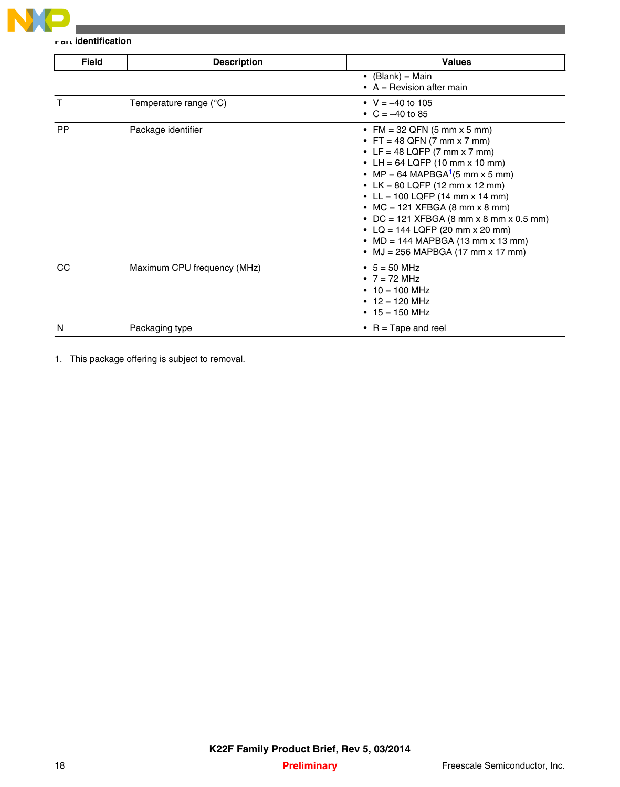

#### **Part identification**

| <b>Field</b> | <b>Description</b>          | <b>Values</b>                                                                                                                                                                                                                                                                                                                                                                                                                                                               |
|--------------|-----------------------------|-----------------------------------------------------------------------------------------------------------------------------------------------------------------------------------------------------------------------------------------------------------------------------------------------------------------------------------------------------------------------------------------------------------------------------------------------------------------------------|
|              |                             | • $(Blank) = Main$<br>$\bullet$ A = Revision after main                                                                                                                                                                                                                                                                                                                                                                                                                     |
| Т            | Temperature range (°C)      | • $V = -40$ to 105<br>• $C = -40$ to 85                                                                                                                                                                                                                                                                                                                                                                                                                                     |
| <b>PP</b>    | Package identifier          | • FM = 32 QFN (5 mm x 5 mm)<br>• FT = 48 QFN (7 mm x 7 mm)<br>• LF = 48 LQFP (7 mm x 7 mm)<br>• LH = $64$ LQFP (10 mm x 10 mm)<br>• MP = 64 MAPBGA <sup>1</sup> (5 mm x 5 mm)<br>• LK = 80 LQFP (12 mm x 12 mm)<br>• LL = 100 LQFP (14 mm x 14 mm)<br>• MC = 121 XFBGA (8 mm x 8 mm)<br>• DC = 121 XFBGA (8 mm x 8 mm x 0.5 mm)<br>• LQ = 144 LQFP (20 mm x 20 mm)<br>• $MD = 144 \text{ MAPBGA} (13 \text{ mm} \times 13 \text{ mm})$<br>• MJ = 256 MAPBGA (17 mm x 17 mm) |
| CC           | Maximum CPU frequency (MHz) | • $5 = 50$ MHz<br>• $7 = 72$ MHz<br>• $10 = 100$ MHz<br>• $12 = 120$ MHz<br>• $15 = 150$ MHz                                                                                                                                                                                                                                                                                                                                                                                |
| N            | Packaging type              | • $R = \text{Tape}$ and reel                                                                                                                                                                                                                                                                                                                                                                                                                                                |

1. This package offering is subject to removal.